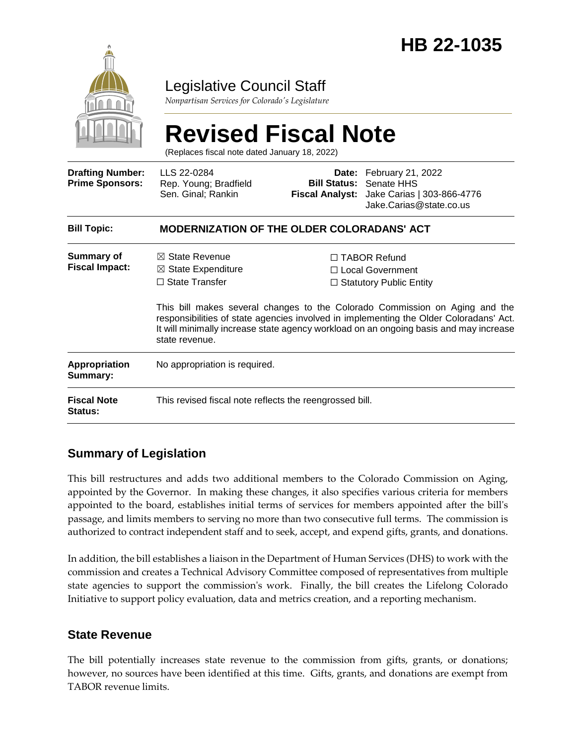

### Legislative Council Staff

*Nonpartisan Services for Colorado's Legislature*

# **Revised Fiscal Note**

(Replaces fiscal note dated January 18, 2022)

| <b>Drafting Number:</b><br><b>Prime Sponsors:</b> | LLS 22-0284<br>Rep. Young; Bradfield<br>Sen. Ginal; Rankin                                            |  | Date: February 21, 2022<br><b>Bill Status: Senate HHS</b><br>Fiscal Analyst: Jake Carias   303-866-4776<br>Jake.Carias@state.co.us                                                                                                                                                                                                            |  |
|---------------------------------------------------|-------------------------------------------------------------------------------------------------------|--|-----------------------------------------------------------------------------------------------------------------------------------------------------------------------------------------------------------------------------------------------------------------------------------------------------------------------------------------------|--|
| <b>Bill Topic:</b>                                | <b>MODERNIZATION OF THE OLDER COLORADANS' ACT</b>                                                     |  |                                                                                                                                                                                                                                                                                                                                               |  |
| <b>Summary of</b><br><b>Fiscal Impact:</b>        | $\boxtimes$ State Revenue<br>$\boxtimes$ State Expenditure<br>$\Box$ State Transfer<br>state revenue. |  | $\Box$ TABOR Refund<br>□ Local Government<br>$\Box$ Statutory Public Entity<br>This bill makes several changes to the Colorado Commission on Aging and the<br>responsibilities of state agencies involved in implementing the Older Coloradans' Act.<br>It will minimally increase state agency workload on an ongoing basis and may increase |  |
| <b>Appropriation</b><br>Summary:                  | No appropriation is required.                                                                         |  |                                                                                                                                                                                                                                                                                                                                               |  |
| <b>Fiscal Note</b><br><b>Status:</b>              | This revised fiscal note reflects the reengrossed bill.                                               |  |                                                                                                                                                                                                                                                                                                                                               |  |

### **Summary of Legislation**

This bill restructures and adds two additional members to the Colorado Commission on Aging, appointed by the Governor. In making these changes, it also specifies various criteria for members appointed to the board, establishes initial terms of services for members appointed after the bill's passage, and limits members to serving no more than two consecutive full terms. The commission is authorized to contract independent staff and to seek, accept, and expend gifts, grants, and donations.

In addition, the bill establishes a liaison in the Department of Human Services (DHS) to work with the commission and creates a Technical Advisory Committee composed of representatives from multiple state agencies to support the commission's work. Finally, the bill creates the Lifelong Colorado Initiative to support policy evaluation, data and metrics creation, and a reporting mechanism.

### **State Revenue**

The bill potentially increases state revenue to the commission from gifts, grants, or donations; however, no sources have been identified at this time. Gifts, grants, and donations are exempt from TABOR revenue limits.